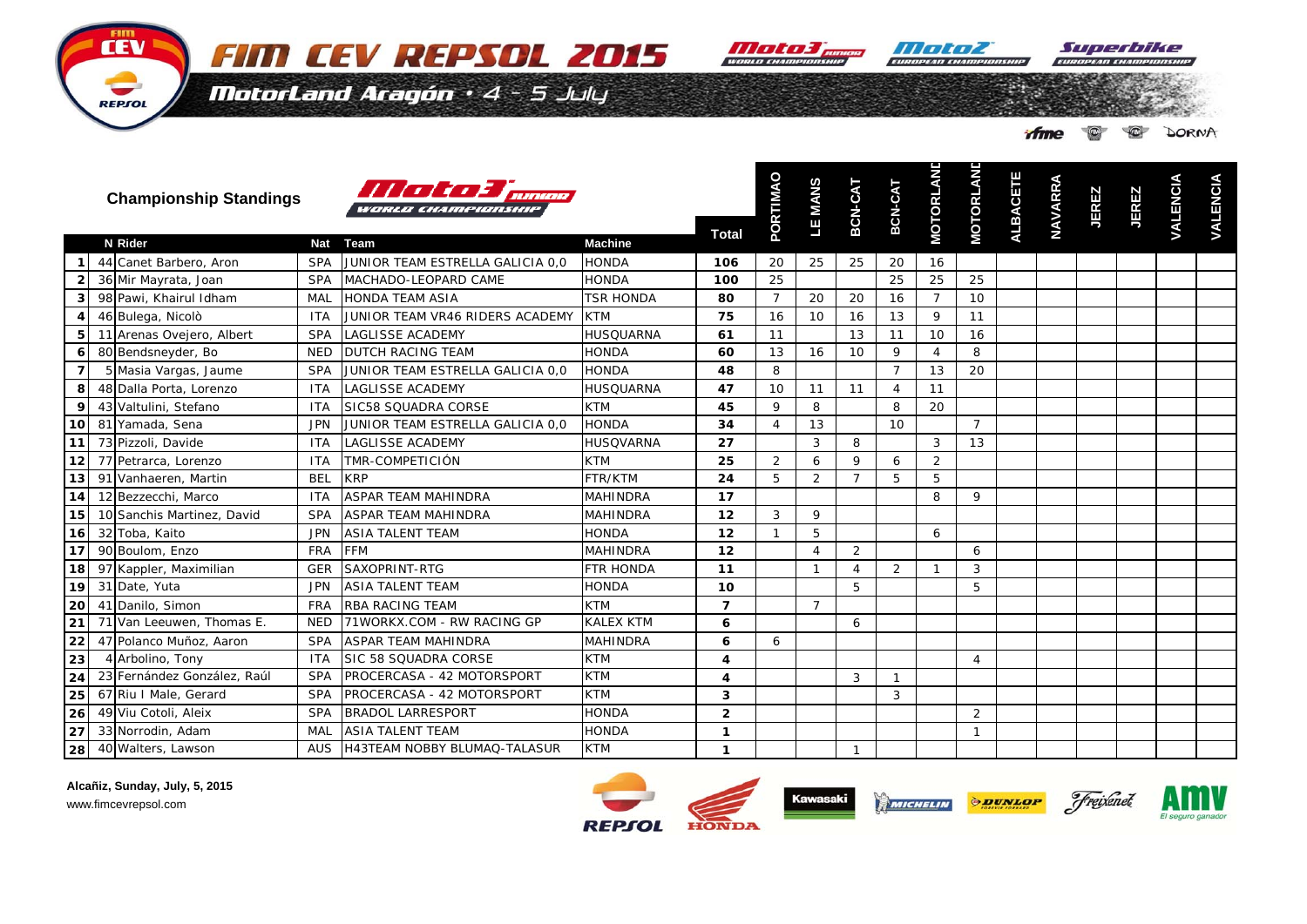**Moto3 pings Moto2** 

Suverbike

 $\blacksquare$ 

**OF DORNA** 

**ifme** 

**D**

**D**

MotorLand Aragón · 4 - 5 July

FIM CEV REPSOL 2015

HITHAL TELEVISION

**Championship Standings**

REPSOL



**Alcañiz, Sunday, July, 5, 2015** www.fimcevrepsol.com

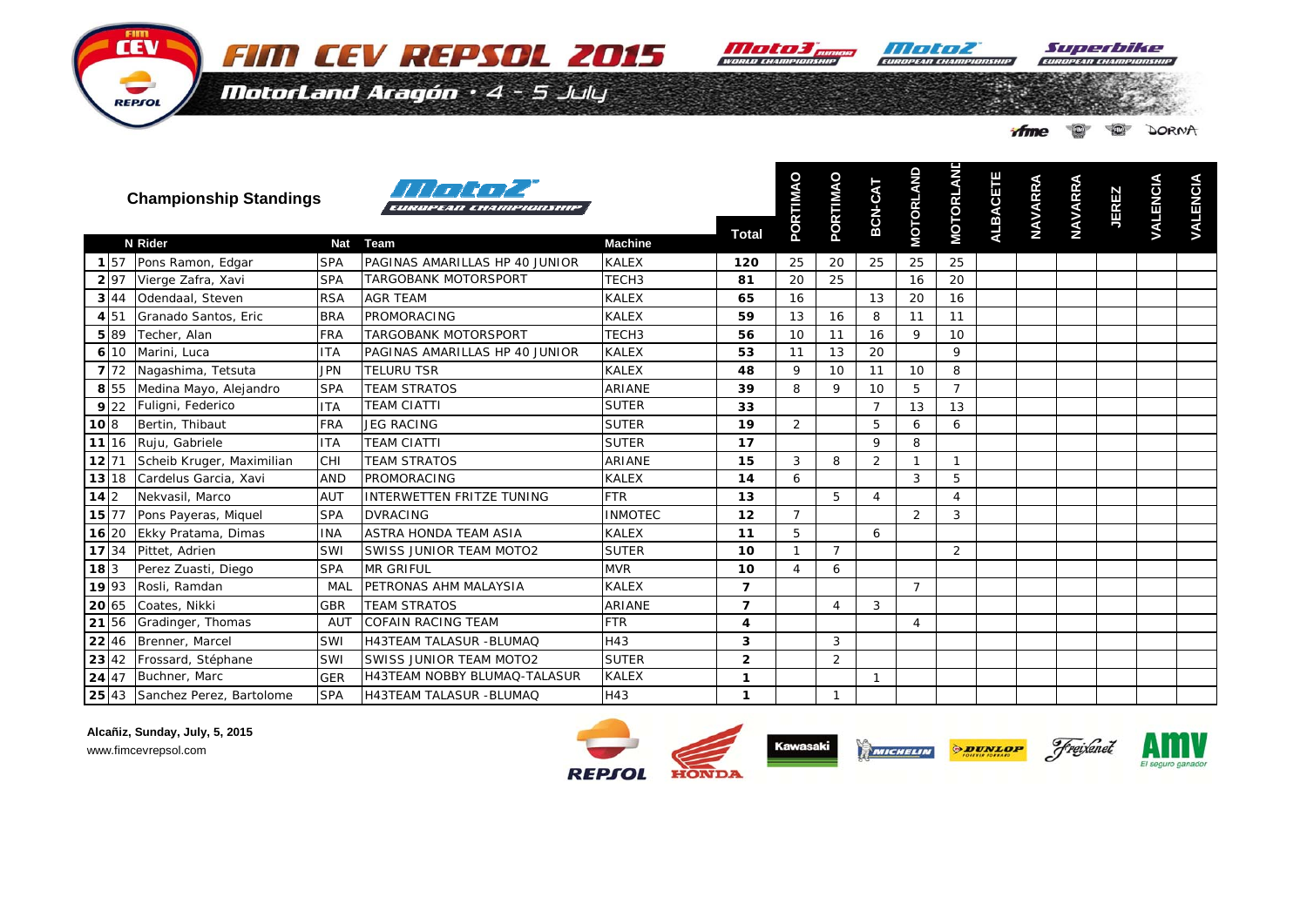

**III TENTA** 

Superbike

MotorLand Aragón · 4 - 5 July

| rfme | $\circledcirc$ | $\bigcirc$ | DORNA |
|------|----------------|------------|-------|
|      |                |            |       |

|        |                  | <b>Championship Standings</b>  |            | 11111112<br>EUROPEAN CHAMPIONSHIP   |                   |                | PORTIMAO       | PORTIMAO       | BCN-CAT        | <b>MOTORLAND</b> | <b>MOTORLANE</b> | <b>ALBACETE</b> | <b>NAVARRA</b> | <b>NAVARRA</b> | <b>JEREZ</b> | <b>VALENCIA</b> | <b>VALENCIA</b> |
|--------|------------------|--------------------------------|------------|-------------------------------------|-------------------|----------------|----------------|----------------|----------------|------------------|------------------|-----------------|----------------|----------------|--------------|-----------------|-----------------|
|        |                  | N Rider                        | <b>Nat</b> | <b>Team</b>                         | <b>Machine</b>    | <b>Total</b>   |                |                |                |                  |                  |                 |                |                |              |                 |                 |
|        | $1\overline{57}$ | Pons Ramon, Edgar              | <b>SPA</b> | PAGINAS AMARILLAS HP 40 JUNIOR      | <b>KALEX</b>      | 120            | 25             | 20             | 25             | 25               | 25               |                 |                |                |              |                 |                 |
|        | 2 97             | Vierge Zafra, Xavi             | <b>SPA</b> | TARGOBANK MOTORSPORT                | TECH <sub>3</sub> | 81             | 20             | 25             |                | 16               | 20               |                 |                |                |              |                 |                 |
|        | 344              | Odendaal, Steven               | <b>RSA</b> | <b>AGR TEAM</b>                     | <b>KALEX</b>      | 65             | 16             |                | 13             | 20               | 16               |                 |                |                |              |                 |                 |
|        | 4 51             | Granado Santos, Eric           | <b>BRA</b> | PROMORACING                         | <b>KALEX</b>      | 59             | 13             | 16             | 8              | 11               | 11               |                 |                |                |              |                 |                 |
|        | 5 8 9            | Techer, Alan                   | <b>FRA</b> | TARGOBANK MOTORSPORT                | TECH <sub>3</sub> | 56             | 10             | 11             | 16             | 9                | 10               |                 |                |                |              |                 |                 |
|        | 6 10             | Marini, Luca                   | <b>ITA</b> | PAGINAS AMARILLAS HP 40 JUNIOR      | <b>KALEX</b>      | 53             | 11             | 13             | 20             |                  | 9                |                 |                |                |              |                 |                 |
|        | 7 72             | Nagashima, Tetsuta             | <b>JPN</b> | <b>TELURU TSR</b>                   | <b>KALEX</b>      | 48             | 9              | 10             | 11             | 10               | 8                |                 |                |                |              |                 |                 |
|        | 8 55             | Medina Mayo, Alejandro         | <b>SPA</b> | <b>TEAM STRATOS</b>                 | <b>ARIANE</b>     | 39             | 8              | 9              | 10             | 5                | $\overline{7}$   |                 |                |                |              |                 |                 |
|        | 9 22             | Fuligni, Federico              | <b>ITA</b> | <b>TEAM CIATTI</b>                  | <b>SUTER</b>      | 33             |                |                | $\overline{7}$ | 13               | 13               |                 |                |                |              |                 |                 |
| 10 8   |                  | Bertin, Thibaut                | <b>FRA</b> | <b>JEG RACING</b>                   | <b>SUTER</b>      | 19             | 2              |                | 5              | 6                | 6                |                 |                |                |              |                 |                 |
|        | 11 16            | Ruju, Gabriele                 | <b>ITA</b> | <b>TEAM CIATTI</b>                  | <b>SUTER</b>      | 17             |                |                | 9              | 8                |                  |                 |                |                |              |                 |                 |
|        | 12 71            | Scheib Kruger, Maximilian      | CHI        | <b>TEAM STRATOS</b>                 | ARIANE            | 15             | 3              | 8              | 2              | $\mathbf{1}$     | $\mathbf 1$      |                 |                |                |              |                 |                 |
|        | 13 18            | Cardelus Garcia, Xavi          | <b>AND</b> | PROMORACING                         | <b>KALEX</b>      | 14             | 6              |                |                | 3                | 5                |                 |                |                |              |                 |                 |
| $14$ 2 |                  | Nekvasil, Marco                | <b>AUT</b> | INTERWETTEN FRITZE TUNING           | <b>FTR</b>        | 13             |                | 5              | $\overline{4}$ |                  | 4                |                 |                |                |              |                 |                 |
|        | $15 \, 77$       | Pons Payeras, Miquel           | <b>SPA</b> | <b>DVRACING</b>                     | <b>INMOTEC</b>    | 12             | $\overline{7}$ |                |                | 2                | 3                |                 |                |                |              |                 |                 |
|        | 16 20            | Ekky Pratama, Dimas            | <b>INA</b> | ASTRA HONDA TEAM ASIA               | <b>KALEX</b>      | 11             | 5              |                | 6              |                  |                  |                 |                |                |              |                 |                 |
|        | 17 34            | Pittet, Adrien                 | SWI        | SWISS JUNIOR TEAM MOTO2             | <b>SUTER</b>      | 10             | $\mathbf{1}$   | $\overline{7}$ |                |                  | 2                |                 |                |                |              |                 |                 |
| 183    |                  | Perez Zuasti, Diego            | <b>SPA</b> | <b>MR GRIFUL</b>                    | <b>MVR</b>        | 10             | $\overline{4}$ | 6              |                |                  |                  |                 |                |                |              |                 |                 |
|        | 19 93            | Rosli, Ramdan                  | MAL        | PETRONAS AHM MALAYSIA               | <b>KALEX</b>      | $\overline{ }$ |                |                |                | $\overline{7}$   |                  |                 |                |                |              |                 |                 |
|        | 20 65            | Coates, Nikki                  | <b>GBR</b> | <b>TEAM STRATOS</b>                 | ARIANE            | $\overline{ }$ |                | $\overline{4}$ | 3              |                  |                  |                 |                |                |              |                 |                 |
|        | 21 56            | Gradinger, Thomas              | <b>AUT</b> | <b>COFAIN RACING TEAM</b>           | <b>FTR</b>        | 4              |                |                |                | $\overline{4}$   |                  |                 |                |                |              |                 |                 |
|        | 22   46          | Brenner, Marcel                | SWI        | <b>H43TEAM TALASUR -BLUMAQ</b>      | H43               | 3              |                | 3              |                |                  |                  |                 |                |                |              |                 |                 |
|        | 23 42            | Frossard, Stéphane             | SWI        | <b>SWISS JUNIOR TEAM MOTO2</b>      | <b>SUTER</b>      | $\overline{2}$ |                | 2              |                |                  |                  |                 |                |                |              |                 |                 |
|        | 24 47            | Buchner, Marc                  | <b>GER</b> | <b>H43TEAM NOBBY BLUMAQ-TALASUR</b> | <b>KALEX</b>      | 1              |                |                | -1             |                  |                  |                 |                |                |              |                 |                 |
|        |                  | 25 43 Sanchez Perez, Bartolome | <b>SPA</b> | <b>H43TEAM TALASUR -BLUMAQ</b>      | H43               | $\mathbf{1}$   |                | 1              |                |                  |                  |                 |                |                |              |                 |                 |

Alcañiz, Sunday, July, 5, 2015 www.fimcevrepsol.com

FIIM **CEV** 

REPSOL





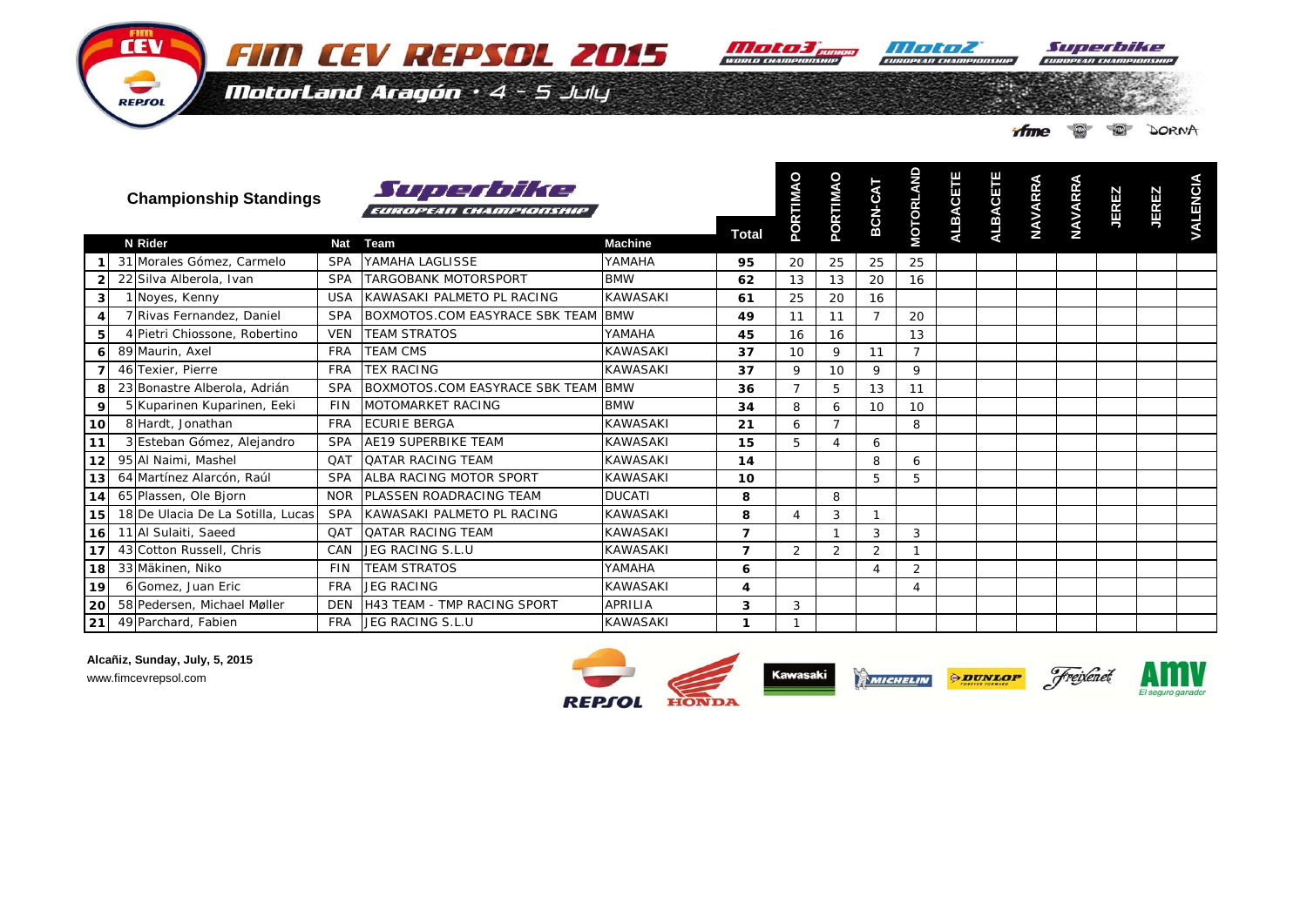

Superbike

MotorLand Aragón · 4 - 5 July

|  |  | Time <b>OF O</b> DORNA |
|--|--|------------------------|

|    | <b>Championship Standings</b>     |            | Superbike<br>EUROPEAN CHAMPIONSHIP |                 | <b>Total</b> | PORTIMAO       | PORTIMAO       | BCN-CAT        | <b>MOTORLAND</b> | <b>ALBACETE</b> | ALBACETE | <b>NAVARRA</b> | <b>NAVARRA</b> | JEREZ | <b>JEREZ</b> | <b>VALENCIA</b> |
|----|-----------------------------------|------------|------------------------------------|-----------------|--------------|----------------|----------------|----------------|------------------|-----------------|----------|----------------|----------------|-------|--------------|-----------------|
|    | N Rider                           | <b>Nat</b> | Team                               | <b>Machine</b>  |              |                |                |                |                  |                 |          |                |                |       |              |                 |
|    | 31 Morales Gómez, Carmelo         | <b>SPA</b> | YAMAHA LAGLISSE                    | YAMAHA          | 95           | 20             | 25             | 25             | 25               |                 |          |                |                |       |              |                 |
|    | 22 Silva Alberola, Ivan           | <b>SPA</b> | <b>TARGOBANK MOTORSPORT</b>        | <b>BMW</b>      | 62           | 13             | 13             | 20             | 16               |                 |          |                |                |       |              |                 |
|    | 1 Noyes, Kenny                    | <b>USA</b> | KAWASAKI PALMETO PL RACING         | <b>KAWASAKI</b> | 61           | 25             | 20             | 16             |                  |                 |          |                |                |       |              |                 |
|    | 7 Rivas Fernandez, Daniel         | <b>SPA</b> | BOXMOTOS.COM EASYRACE SBK TEAM BMW |                 | 49           | 11             | 11             | $\overline{7}$ | 20               |                 |          |                |                |       |              |                 |
|    | 4 Pietri Chiossone, Robertino     | <b>VEN</b> | <b>TEAM STRATOS</b>                | YAMAHA          | 45           | 16             | 16             |                | 13               |                 |          |                |                |       |              |                 |
|    | 89 Maurin, Axel                   | <b>FRA</b> | <b>TEAM CMS</b>                    | <b>KAWASAKI</b> | 37           | 10             | 9              | 11             | $\overline{7}$   |                 |          |                |                |       |              |                 |
|    | 46 Texier, Pierre                 | <b>FRA</b> | <b>TEX RACING</b>                  | <b>KAWASAKI</b> | 37           | 9              | 10             | 9              | 9                |                 |          |                |                |       |              |                 |
| 8  | 23 Bonastre Alberola, Adrián      | <b>SPA</b> | BOXMOTOS.COM EASYRACE SBK TEAM BMW |                 | 36           | $\overline{7}$ | 5              | 13             | 11               |                 |          |                |                |       |              |                 |
| 9  | 5 Kuparinen Kuparinen, Eeki       | <b>FIN</b> | <b>MOTOMARKET RACING</b>           | <b>BMW</b>      | 34           | 8              | 6              | 10             | 10               |                 |          |                |                |       |              |                 |
| ۱O | 8 Hardt, Jonathan                 | <b>FRA</b> | <b>ECURIE BERGA</b>                | <b>KAWASAKI</b> | 21           | 6              | $\overline{ }$ |                | 8                |                 |          |                |                |       |              |                 |
|    | 3 Esteban Gómez, Alejandro        | <b>SPA</b> | <b>AE19 SUPERBIKE TEAM</b>         | <b>KAWASAKI</b> | 15           | 5              |                | 6              |                  |                 |          |                |                |       |              |                 |
|    | 95 Al Naimi, Mashel               | QAT        | <b>QATAR RACING TEAM</b>           | <b>KAWASAKI</b> | 14           |                |                | 8              | 6                |                 |          |                |                |       |              |                 |
|    | 64 Martínez Alarcón, Raúl         | <b>SPA</b> | ALBA RACING MOTOR SPORT            | <b>KAWASAKI</b> | 10           |                |                | 5              | 5                |                 |          |                |                |       |              |                 |
|    | 65 Plassen, Ole Bjorn             | <b>NOR</b> | <b>PLASSEN ROADRACING TEAM</b>     | <b>DUCATI</b>   | 8            |                | 8              |                |                  |                 |          |                |                |       |              |                 |
|    | 18 De Ulacia De La Sotilla, Lucas | <b>SPA</b> | KAWASAKI PALMETO PL RACING         | <b>KAWASAKI</b> | 8            | $\Delta$       | 3              | $\mathbf{1}$   |                  |                 |          |                |                |       |              |                 |
| 6I | 11 Al Sulaiti, Saeed              | QAT        | <b>QATAR RACING TEAM</b>           | <b>KAWASAKI</b> | 7            |                |                | 3              | 3                |                 |          |                |                |       |              |                 |
|    | 43 Cotton Russell, Chris          | CAN        | JEG RACING S.L.U                   | <b>KAWASAKI</b> | 7            | $\overline{2}$ | 2              | $\overline{2}$ |                  |                 |          |                |                |       |              |                 |
| 8  | 33 Mäkinen, Niko                  | <b>FIN</b> | <b>TEAM STRATOS</b>                | YAMAHA          | 6            |                |                | 4              | $\overline{2}$   |                 |          |                |                |       |              |                 |
|    | 6 Gomez, Juan Eric                | <b>FRA</b> | <b>JEG RACING</b>                  | <b>KAWASAKI</b> | 4            |                |                |                | 4                |                 |          |                |                |       |              |                 |
|    | 58 Pedersen, Michael Møller       | <b>DEN</b> | <b>H43 TEAM - TMP RACING SPORT</b> | <b>APRILIA</b>  | 3            | 3              |                |                |                  |                 |          |                |                |       |              |                 |
|    | 49 Parchard, Fabien               | <b>FRA</b> | JEG RACING S.L.U                   | <b>KAWASAKI</b> | 1            |                |                |                |                  |                 |          |                |                |       |              |                 |

**Alcañiz, Sunday, July, 5, 2015**

www.fimcevrepsol.com

**CEV** 

REPSOL

**10**

**11**

**12**

**13**

**14**

**15**

**16**

**17**

**18**

**19**

**20**

**21**

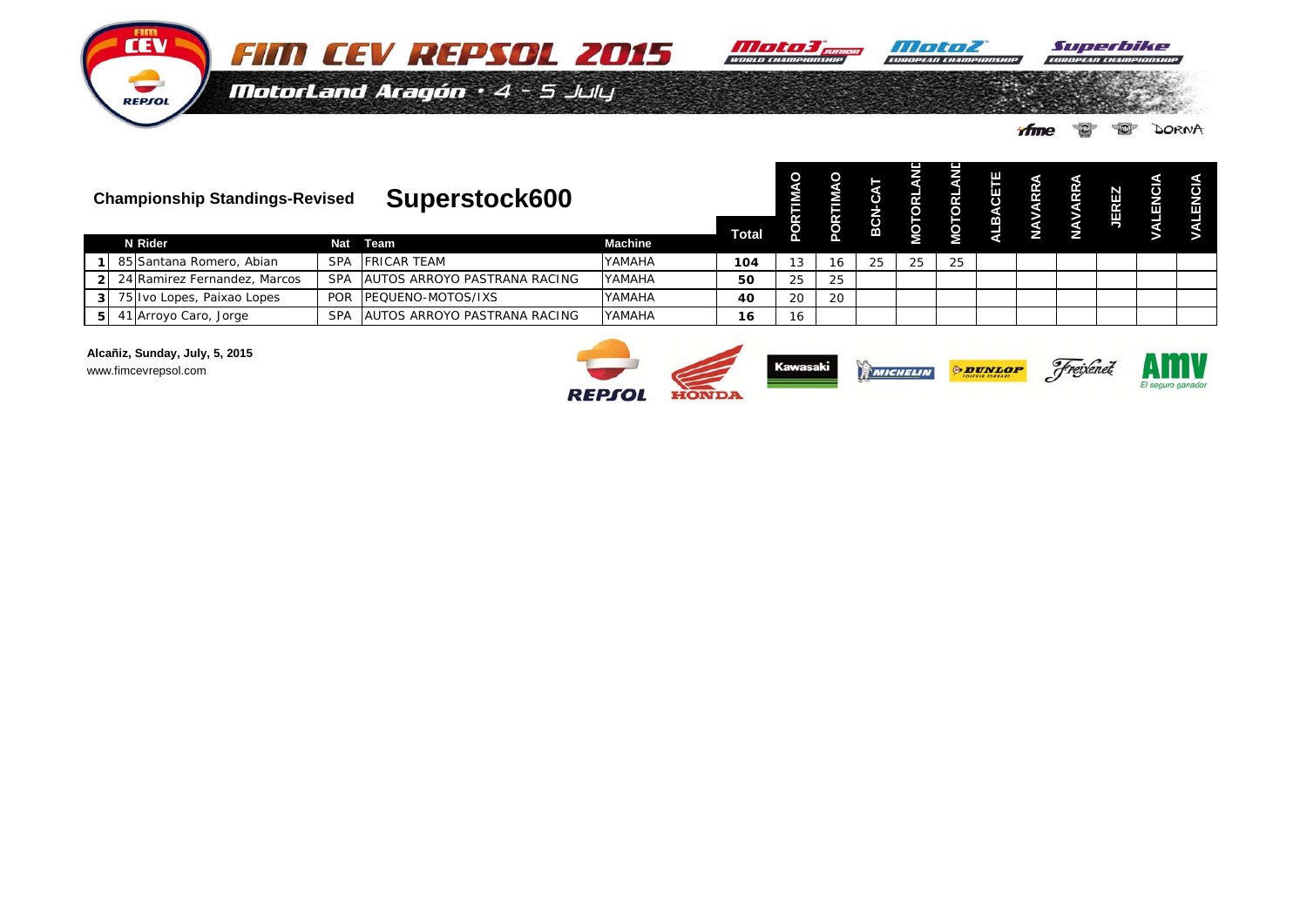

Superbike an cuan F.

E SI S.

MotorLand Aragón · 4 - 5 July

 $\circ$ **DORNA** ifme

|    | <b>Championship Standings-Revised</b><br>N Rider |                              |            | Superstock600                        |                |     | <b>Total</b> | O  | BC |    |    | ш<br>B | 2 | <b>JEREZ</b> | ш | <b>IQN</b><br>Ш |
|----|--------------------------------------------------|------------------------------|------------|--------------------------------------|----------------|-----|--------------|----|----|----|----|--------|---|--------------|---|-----------------|
|    |                                                  |                              | Nat        | Team                                 | <b>Machine</b> |     |              |    |    |    |    |        |   |              |   |                 |
|    |                                                  | 85 Santana Romero, Abian     | <b>SPA</b> | <b>FRICAR TEAM</b>                   | YAMAHA         | 104 | ک ا          | 16 | 25 | 25 | 25 |        |   |              |   |                 |
| 2I |                                                  | 24 Ramirez Fernandez, Marcos | <b>SPA</b> | <b>JAUTOS ARROYO PASTRANA RACING</b> | YAMAHA         | 50  | 25           | 25 |    |    |    |        |   |              |   |                 |
| 3I |                                                  | 75 Ivo Lopes, Paixao Lopes   | <b>POR</b> | <b>PEQUENO-MOTOS/IXS</b>             | YAMAHA         | 40  | 20           | 20 |    |    |    |        |   |              |   |                 |
| 51 |                                                  | 41 Arroyo Caro, Jorge        | <b>SPA</b> | AUTOS ARROYO PASTRANA RACING         | YAMAHA         | 16  | 16           |    |    |    |    |        |   |              |   |                 |

Alcañiz, Sunday, July, 5, 2015 www.fimcevrepsol.com

**CEV** 

REPSOL

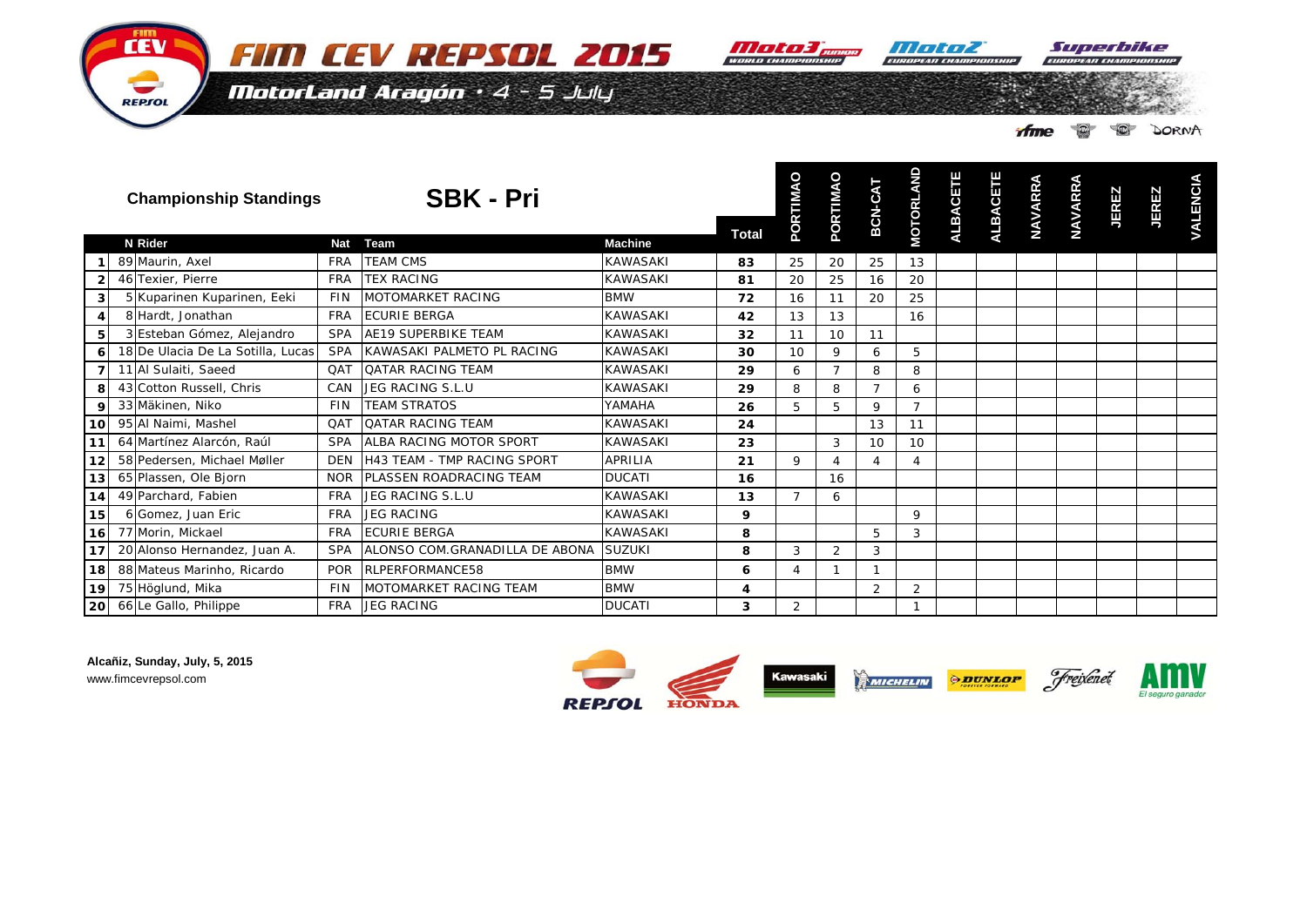

**ENGINEERD CHANNE** 

HIT TATA

Superbike

MotorLand Aragón · 4 - 5 July

**DORNA ifme**  $\circ$ 

|                         | <b>Championship Standings</b>     |            | <b>SBK - Pri</b>                   | <b>Total</b>    | $\circ$<br>PORTIMA | PORTIMAO        | BCN-CAT | <b>MOTORLAND</b> | <b>ALBACETE</b> | <b>ALBACETE</b> | <b>NAVARRA</b> | <b>NAVARRA</b> | <b>JEREZ</b> | <b>JEREZ</b> | <b>VALENCIA</b> |  |
|-------------------------|-----------------------------------|------------|------------------------------------|-----------------|--------------------|-----------------|---------|------------------|-----------------|-----------------|----------------|----------------|--------------|--------------|-----------------|--|
|                         | <b>N</b> Rider                    | <b>Nat</b> | Team                               | <b>Machine</b>  |                    |                 |         |                  |                 |                 |                |                |              |              |                 |  |
|                         | 89 Maurin, Axel                   | <b>FRA</b> | <b>TEAM CMS</b>                    | <b>KAWASAKI</b> | 83                 | 25              | 20      | 25               | 13              |                 |                |                |              |              |                 |  |
| $\mathbf{2}$            | 46 Texier, Pierre                 | <b>FRA</b> | <b>TEX RACING</b>                  | <b>KAWASAKI</b> | 81                 | 20              | 25      | 16               | 20              |                 |                |                |              |              |                 |  |
| $\overline{\mathbf{3}}$ | 5 Kuparinen Kuparinen, Eeki       | <b>FIN</b> | MOTOMARKET RACING                  | <b>BMW</b>      | 72                 | 16              | 11      | 20               | 25              |                 |                |                |              |              |                 |  |
| 4                       | 8 Hardt, Jonathan                 | <b>FRA</b> | <b>ECURIE BERGA</b>                | <b>KAWASAKI</b> | 42                 | 13              | 13      |                  | 16              |                 |                |                |              |              |                 |  |
| 5 <sub>l</sub>          | 3 Esteban Gómez, Alejandro        | <b>SPA</b> | <b>AE19 SUPERBIKE TEAM</b>         | <b>KAWASAKI</b> | 32                 | 11              | 10      | 11               |                 |                 |                |                |              |              |                 |  |
| 6                       | 18 De Ulacia De La Sotilla, Lucas | <b>SPA</b> | KAWASAKI PALMETO PL RACING         | <b>KAWASAKI</b> | 30                 | 10 <sup>1</sup> | 9       | 6                | 5               |                 |                |                |              |              |                 |  |
| $\overline{7}$          | 11 Al Sulaiti, Saeed              | <b>QAT</b> | <b>QATAR RACING TEAM</b>           | <b>KAWASAKI</b> | 29                 | 6               |         | 8                | 8               |                 |                |                |              |              |                 |  |
| 8                       | 43 Cotton Russell, Chris          | CAN        | JEG RACING S.L.U                   | <b>KAWASAKI</b> | 29                 | 8               | 8       | $\overline{7}$   | 6               |                 |                |                |              |              |                 |  |
| 9                       | 33 Mäkinen, Niko                  | <b>FIN</b> | <b>TEAM STRATOS</b>                | YAMAHA          | 26                 | 5               | 5       | 9                | $\overline{7}$  |                 |                |                |              |              |                 |  |
| 10 <sub>l</sub>         | 95 Al Naimi, Mashel               | OAT        | <b>QATAR RACING TEAM</b>           | <b>KAWASAKI</b> | 24                 |                 |         | 13               | 11              |                 |                |                |              |              |                 |  |
| 11                      | 64 Martínez Alarcón, Raúl         | <b>SPA</b> | ALBA RACING MOTOR SPORT            | <b>KAWASAKI</b> | 23                 |                 | 3       | 10               | 10              |                 |                |                |              |              |                 |  |
| 12                      | 58 Pedersen, Michael Møller       | <b>DEN</b> | <b>H43 TEAM - TMP RACING SPORT</b> | <b>APRILIA</b>  | 21                 | 9               | Δ       | 4                | 4               |                 |                |                |              |              |                 |  |
| 13                      | 65 Plassen, Ole Bjorn             | <b>NOR</b> | PLASSEN ROADRACING TEAM            | <b>DUCATI</b>   | 16                 |                 | 16      |                  |                 |                 |                |                |              |              |                 |  |
| 14                      | 49 Parchard, Fabien               | <b>FRA</b> | JEG RACING S.L.U                   | <b>KAWASAKI</b> | 13                 | $\overline{7}$  | 6       |                  |                 |                 |                |                |              |              |                 |  |
| 15                      | 6 Gomez, Juan Eric                | <b>FRA</b> | <b>JEG RACING</b>                  | <b>KAWASAKI</b> | 9                  |                 |         |                  | $\mathsf Q$     |                 |                |                |              |              |                 |  |
| 16                      | 77 Morin, Mickael                 | <b>FRA</b> | <b>ECURIE BERGA</b>                | <b>KAWASAKI</b> | 8                  |                 |         | 5                | 3               |                 |                |                |              |              |                 |  |
| 17                      | 20 Alonso Hernandez, Juan A.      | <b>SPA</b> | ALONSO COM.GRANADILLA DE ABONA     | <b>SUZUKI</b>   | 8                  | 3               | 2       | 3                |                 |                 |                |                |              |              |                 |  |
| 18                      | 88 Mateus Marinho, Ricardo        | <b>POR</b> | RLPERFORMANCE58                    | <b>BMW</b>      | 6                  |                 |         | $\mathbf{1}$     |                 |                 |                |                |              |              |                 |  |
| 19                      | 75 Höglund, Mika                  | <b>FIN</b> | <b>MOTOMARKET RACING TEAM</b>      | <b>BMW</b>      | 4                  |                 |         | 2                | $\overline{2}$  |                 |                |                |              |              |                 |  |
| 20l                     | 66 Le Gallo, Philippe             | <b>FRA</b> | <b>JEG RACING</b>                  | <b>DUCATI</b>   | 3                  | $\overline{2}$  |         |                  |                 |                 |                |                |              |              |                 |  |

Alcañiz, Sunday, July, 5, 2015 www.fimcevrepsol.com

FIIM **CEV** 

REPSOL